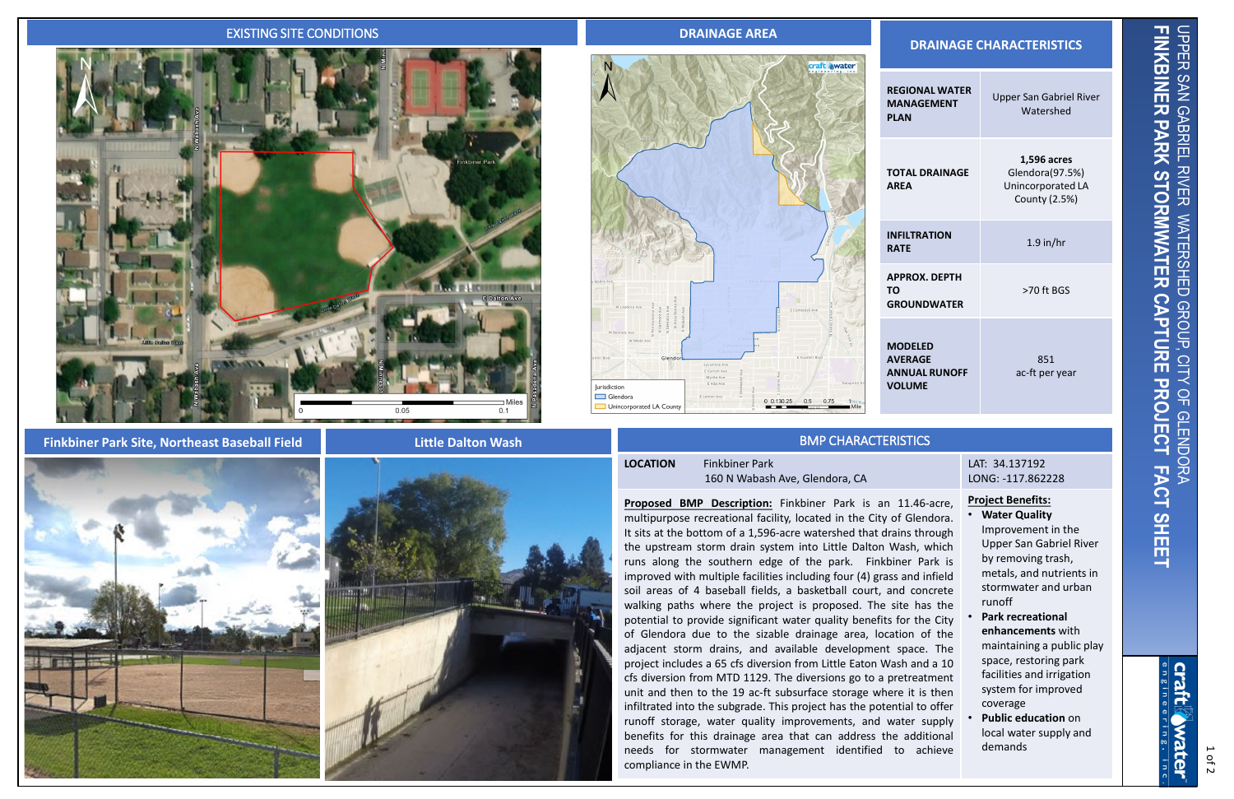### EXISTING SITE CONDITIONS **DRAINAGE AREA**



### **Finkbiner Park Site, Northeast Baseball Field**

# **DRAINAGE CHARACTERISTICS**



| <b>REGIONAL WATER</b><br><b>MANAGEMENT</b><br>PLAN                 | <b>Upper San Gabriel River</b><br>Watershed                          |
|--------------------------------------------------------------------|----------------------------------------------------------------------|
| <b>TOTAL DRAINAGE</b><br>AREA                                      | 1,596 acres<br>Glendora(97.5%)<br>Unincorporated LA<br>County (2.5%) |
| INFILTRATION<br><b>RATE</b>                                        | $1.9$ in/hr                                                          |
| APPROX. DEPTH<br>ТΟ<br><b>GROUNDWATER</b>                          | >70 ft BGS                                                           |
| <b>MODELED</b><br><b>AVERAGE</b><br><b>ANNUAL RUNOFF</b><br>VOLUME | 851<br>ac-ft per year                                                |

# BMP CHARACTERISTICS

# **LOCATION** Finkbiner Park

160 N Wabash Ave, Glendora, CA

River by removing trash, metals, and nutrients in stormwater and urban runoff

**Proposed BMP Description:** Finkbiner Park is an 11.46-acre, multipurpose recreational facility, located in the City of Glendora. It sits at the bottom of a 1,596-acre watershed that drains through the upstream storm drain system into Little Dalton Wash, which runs along the southern edge of the park. Finkbiner Park is improved with multiple facilities including four (4) grass and infield soil areas of 4 baseball fields, a basketball court, and concrete walking paths where the project is proposed. The site has the potential to provide significant water quality benefits for the City of Glendora due to the sizable drainage area, location of the adjacent storm drains, and available development space. The project includes a 65 cfs diversion from Little Eaton Wash and a 10 cfs diversion from MTD 1129. The diversions go to a pretreatment unit and then to the 19 ac-ft subsurface storage where it is then infiltrated into the subgrade. This project has the potential to offer runoff storage, water quality improvements, and water supply benefits for this drainage area that can address the additional needs for stormwater management identified to achieve compliance in the EWMP.

|   | LAT: 34.137192<br>LONG: -117.862228                    |
|---|--------------------------------------------------------|
| í | <b>Project Benefits:</b><br><b>Water Quality</b>       |
| ١ | Improvement in the                                     |
| ١ | Upper San Gabriel Ri<br>be a construction of the self- |

- **Park recreational enhancements** with maintaining a public play space, restoring park facilities and irrigation system for improved coverage
- **Public education** on local water supply and demands

FINKBINER PARK STORMWATER CAPTURE PROJECT FACT SHEET **UPPER FINKBINER PARK STORMWATER CAPTURE PROJECT FACT SHEET** UPPER SAN GABRIEL RIVER WATERSHED GROUP, CITY OF GLENDORA SAN GABRIEL **RIVER WATERSHED** GROUP,  $\Xi$  $\overline{Q}$ **GLENDO** 



#### **Little Dalton Wash**





1 of 2